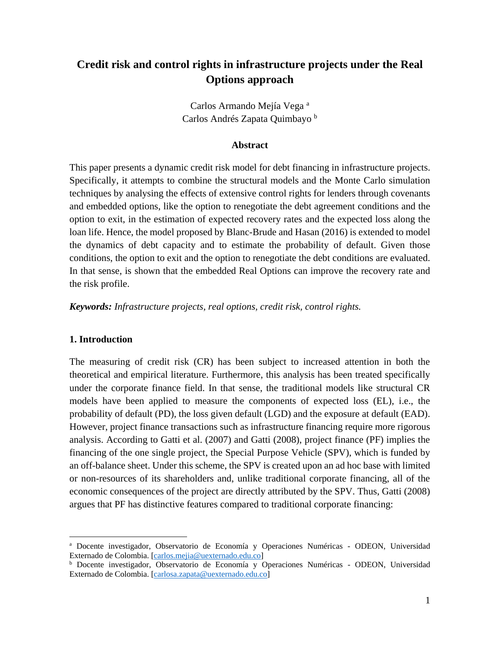# **Credit risk and control rights in infrastructure projects under the Real Options approach**

Carlos Armando Mejía Vega <sup>a</sup> Carlos Andrés Zapata Quimbayo <sup>b</sup>

#### **Abstract**

This paper presents a dynamic credit risk model for debt financing in infrastructure projects. Specifically, it attempts to combine the structural models and the Monte Carlo simulation techniques by analysing the effects of extensive control rights for lenders through covenants and embedded options, like the option to renegotiate the debt agreement conditions and the option to exit, in the estimation of expected recovery rates and the expected loss along the loan life. Hence, the model proposed by Blanc-Brude and Hasan (2016) is extended to model the dynamics of debt capacity and to estimate the probability of default. Given those conditions, the option to exit and the option to renegotiate the debt conditions are evaluated. In that sense, is shown that the embedded Real Options can improve the recovery rate and the risk profile.

*Keywords: Infrastructure projects, real options, credit risk, control rights.*

#### **1. Introduction**

 $\overline{a}$ 

The measuring of credit risk (CR) has been subject to increased attention in both the theoretical and empirical literature. Furthermore, this analysis has been treated specifically under the corporate finance field. In that sense, the traditional models like structural CR models have been applied to measure the components of expected loss (EL), i.e., the probability of default (PD), the loss given default (LGD) and the exposure at default (EAD). However, project finance transactions such as infrastructure financing require more rigorous analysis. According to Gatti et al. (2007) and Gatti (2008), project finance (PF) implies the financing of the one single project, the Special Purpose Vehicle (SPV), which is funded by an off-balance sheet. Under this scheme, the SPV is created upon an ad hoc base with limited or non-resources of its shareholders and, unlike traditional corporate financing, all of the economic consequences of the project are directly attributed by the SPV. Thus, Gatti (2008) argues that PF has distinctive features compared to traditional corporate financing:

<sup>a</sup> Docente investigador, Observatorio de Economía y Operaciones Numéricas - ODEON, Universidad Externado de Colombia. [\[carlos.mejia@uexternado.edu.co\]](mailto:carlos.mejia@uexternado.edu.co)

<sup>b</sup> Docente investigador, Observatorio de Economía y Operaciones Numéricas - ODEON, Universidad Externado de Colombia. [\[carlosa.zapata@uexternado.edu.co\]](mailto:carlosa.zapata@uexternado.edu.co)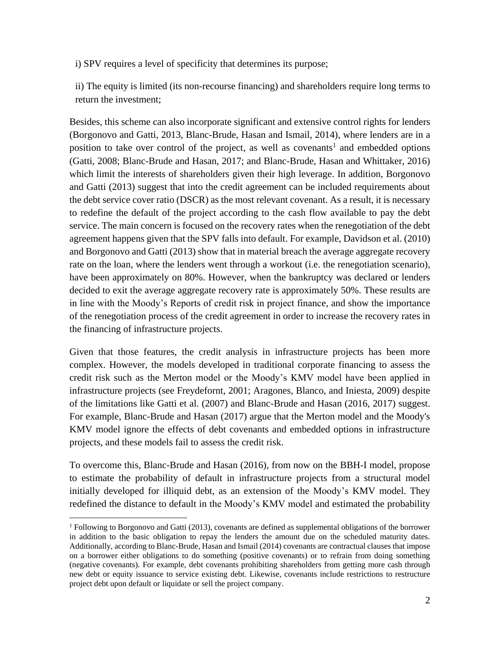i) SPV requires a level of specificity that determines its purpose;

ii) The equity is limited (its non-recourse financing) and shareholders require long terms to return the investment;

Besides, this scheme can also incorporate significant and extensive control rights for lenders (Borgonovo and Gatti, 2013, Blanc-Brude, Hasan and Ismail, 2014), where lenders are in a position to take over control of the project, as well as covenants<sup>1</sup> and embedded options (Gatti, 2008; Blanc-Brude and Hasan, 2017; and Blanc-Brude, Hasan and Whittaker, 2016) which limit the interests of shareholders given their high leverage. In addition, Borgonovo and Gatti (2013) suggest that into the credit agreement can be included requirements about the debt service cover ratio (DSCR) as the most relevant covenant. As a result, it is necessary to redefine the default of the project according to the cash flow available to pay the debt service. The main concern is focused on the recovery rates when the renegotiation of the debt agreement happens given that the SPV falls into default. For example, Davidson et al. (2010) and Borgonovo and Gatti (2013) show that in material breach the average aggregate recovery rate on the loan, where the lenders went through a workout (i.e. the renegotiation scenario), have been approximately on 80%. However, when the bankruptcy was declared or lenders decided to exit the average aggregate recovery rate is approximately 50%. These results are in line with the Moody's Reports of credit risk in project finance, and show the importance of the renegotiation process of the credit agreement in order to increase the recovery rates in the financing of infrastructure projects.

Given that those features, the credit analysis in infrastructure projects has been more complex. However, the models developed in traditional corporate financing to assess the credit risk such as the Merton model or the Moody's KMV model have been applied in infrastructure projects (see Freydefornt, 2001; Aragones, Blanco, and Iniesta, 2009) despite of the limitations like Gatti et al. (2007) and Blanc-Brude and Hasan (2016, 2017) suggest. For example, Blanc-Brude and Hasan (2017) argue that the Merton model and the Moody's KMV model ignore the effects of debt covenants and embedded options in infrastructure projects, and these models fail to assess the credit risk.

To overcome this, Blanc-Brude and Hasan (2016), from now on the BBH-I model, propose to estimate the probability of default in infrastructure projects from a structural model initially developed for illiquid debt, as an extension of the Moody's KMV model. They redefined the distance to default in the Moody's KMV model and estimated the probability

<sup>1</sup> Following to Borgonovo and Gatti (2013), covenants are defined as supplemental obligations of the borrower in addition to the basic obligation to repay the lenders the amount due on the scheduled maturity dates. Additionally, according to Blanc-Brude, Hasan and Ismail (2014) covenants are contractual clauses that impose on a borrower either obligations to do something (positive covenants) or to refrain from doing something (negative covenants). For example, debt covenants prohibiting shareholders from getting more cash through new debt or equity issuance to service existing debt. Likewise, covenants include restrictions to restructure project debt upon default or liquidate or sell the project company.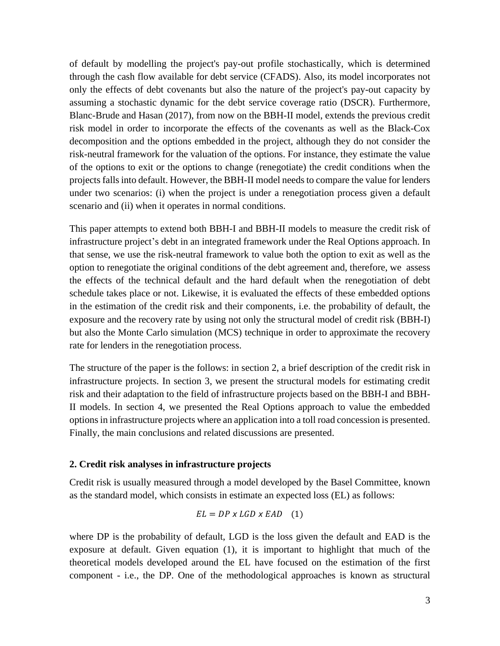of default by modelling the project's pay-out profile stochastically, which is determined through the cash flow available for debt service (CFADS). Also, its model incorporates not only the effects of debt covenants but also the nature of the project's pay-out capacity by assuming a stochastic dynamic for the debt service coverage ratio (DSCR). Furthermore, Blanc-Brude and Hasan (2017), from now on the BBH-II model, extends the previous credit risk model in order to incorporate the effects of the covenants as well as the Black-Cox decomposition and the options embedded in the project, although they do not consider the risk-neutral framework for the valuation of the options. For instance, they estimate the value of the options to exit or the options to change (renegotiate) the credit conditions when the projects falls into default. However, the BBH-II model needsto compare the value for lenders under two scenarios: (i) when the project is under a renegotiation process given a default scenario and (ii) when it operates in normal conditions.

This paper attempts to extend both BBH-I and BBH-II models to measure the credit risk of infrastructure project's debt in an integrated framework under the Real Options approach. In that sense, we use the risk-neutral framework to value both the option to exit as well as the option to renegotiate the original conditions of the debt agreement and, therefore, we assess the effects of the technical default and the hard default when the renegotiation of debt schedule takes place or not. Likewise, it is evaluated the effects of these embedded options in the estimation of the credit risk and their components, i.e. the probability of default, the exposure and the recovery rate by using not only the structural model of credit risk (BBH-I) but also the Monte Carlo simulation (MCS) technique in order to approximate the recovery rate for lenders in the renegotiation process.

The structure of the paper is the follows: in section 2, a brief description of the credit risk in infrastructure projects. In section 3, we present the structural models for estimating credit risk and their adaptation to the field of infrastructure projects based on the BBH-I and BBH-II models. In section 4, we presented the Real Options approach to value the embedded options in infrastructure projects where an application into a toll road concession is presented. Finally, the main conclusions and related discussions are presented.

### **2. Credit risk analyses in infrastructure projects**

Credit risk is usually measured through a model developed by the Basel Committee, known as the standard model, which consists in estimate an expected loss (EL) as follows:

$$
EL = DP \times LGD \times EAD \quad (1)
$$

where DP is the probability of default, LGD is the loss given the default and EAD is the exposure at default. Given equation (1), it is important to highlight that much of the theoretical models developed around the EL have focused on the estimation of the first component - i.e., the DP. One of the methodological approaches is known as structural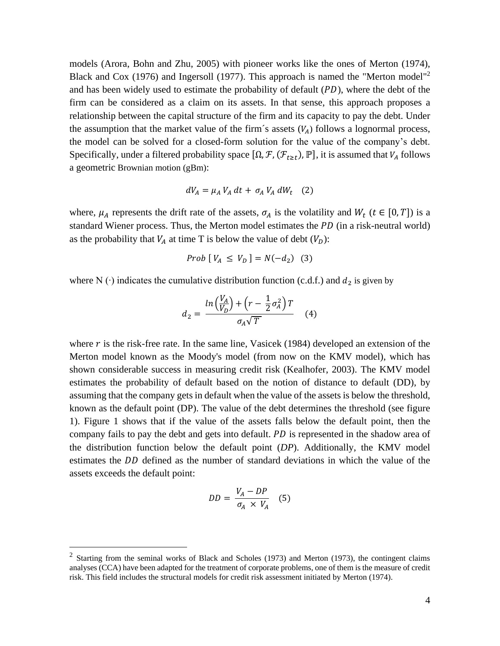models (Arora, Bohn and Zhu, 2005) with pioneer works like the ones of Merton (1974), Black and Cox (1976) and Ingersoll (1977). This approach is named the "Merton model"<sup>2</sup> and has been widely used to estimate the probability of default  $(PD)$ , where the debt of the firm can be considered as a claim on its assets. In that sense, this approach proposes a relationship between the capital structure of the firm and its capacity to pay the debt. Under the assumption that the market value of the firm's assets  $(V_A)$  follows a lognormal process, the model can be solved for a closed-form solution for the value of the company's debt. Specifically, under a filtered probability space  $[\Omega, \mathcal{F}, (\mathcal{F}_{t \ge t}), \mathbb{P}]$ , it is assumed that  $V_A$  follows a geometric Brownian motion (gBm):

$$
dV_A = \mu_A V_A dt + \sigma_A V_A dW_t \quad (2)
$$

where,  $\mu_A$  represents the drift rate of the assets,  $\sigma_A$  is the volatility and  $W_t$  ( $t \in [0, T]$ ) is a standard Wiener process. Thus, the Merton model estimates the  $PD$  (in a risk-neutral world) as the probability that  $V_A$  at time T is below the value of debt  $(V_D)$ :

*Prob* 
$$
[V_A \le V_D] = N(-d_2)
$$
 (3)

where N ( $\cdot$ ) indicates the cumulative distribution function (c.d.f.) and  $d_2$  is given by

$$
d_2 = \frac{\ln\left(\frac{V_A}{V_D}\right) + \left(r - \frac{1}{2}\sigma_A^2\right)T}{\sigma_A\sqrt{T}} \tag{4}
$$

where  $r$  is the risk-free rate. In the same line, Vasicek (1984) developed an extension of the Merton model known as the Moody's model (from now on the KMV model), which has shown considerable success in measuring credit risk (Kealhofer, 2003). The KMV model estimates the probability of default based on the notion of distance to default (DD), by assuming that the company gets in default when the value of the assets is below the threshold, known as the default point (DP). The value of the debt determines the threshold (see figure 1). Figure 1 shows that if the value of the assets falls below the default point, then the company fails to pay the debt and gets into default. PD is represented in the shadow area of the distribution function below the default point (*DP*). Additionally, the KMV model estimates the DD defined as the number of standard deviations in which the value of the assets exceeds the default point:

$$
DD = \frac{V_A - DP}{\sigma_A \times V_A} \quad (5)
$$

 $2$  Starting from the seminal works of Black and Scholes (1973) and Merton (1973), the contingent claims analyses (CCA) have been adapted for the treatment of corporate problems, one of them is the measure of credit risk. This field includes the structural models for credit risk assessment initiated by Merton (1974).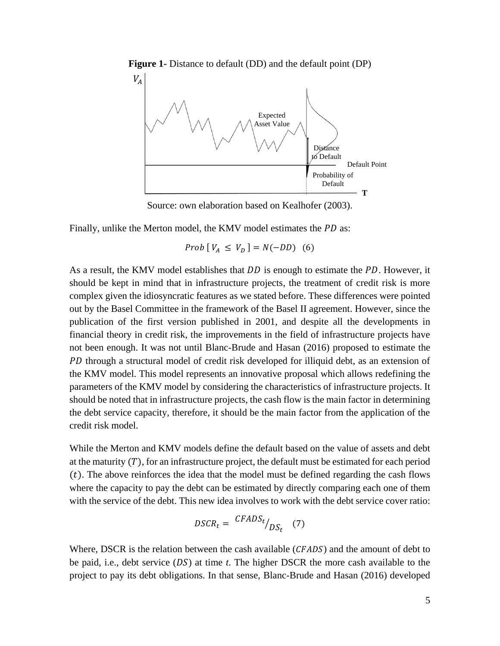

**Figure 1-** Distance to default (DD) and the default point (DP)

Source: own elaboration based on Kealhofer (2003).

Finally, unlike the Merton model, the KMV model estimates the PD as:

 $Prob [ V_A \leq V_D ] = N(-DD)$  (6)

As a result, the KMV model establishes that  $DD$  is enough to estimate the  $PD$ . However, it should be kept in mind that in infrastructure projects, the treatment of credit risk is more complex given the idiosyncratic features as we stated before. These differences were pointed out by the Basel Committee in the framework of the Basel II agreement. However, since the publication of the first version published in 2001, and despite all the developments in financial theory in credit risk, the improvements in the field of infrastructure projects have not been enough. It was not until Blanc-Brude and Hasan (2016) proposed to estimate the PD through a structural model of credit risk developed for illiquid debt, as an extension of the KMV model. This model represents an innovative proposal which allows redefining the parameters of the KMV model by considering the characteristics of infrastructure projects. It should be noted that in infrastructure projects, the cash flow is the main factor in determining the debt service capacity, therefore, it should be the main factor from the application of the credit risk model.

While the Merton and KMV models define the default based on the value of assets and debt at the maturity  $(T)$ , for an infrastructure project, the default must be estimated for each period  $(t)$ . The above reinforces the idea that the model must be defined regarding the cash flows where the capacity to pay the debt can be estimated by directly comparing each one of them with the service of the debt. This new idea involves to work with the debt service cover ratio:

$$
DSCR_t = \frac{CFADS_t}{DS_t} / DS_t \quad (7)
$$

Where, DSCR is the relation between the cash available  $(CFADS)$  and the amount of debt to be paid, i.e., debt service  $(DS)$  at time *t*. The higher DSCR the more cash available to the project to pay its debt obligations. In that sense, Blanc-Brude and Hasan (2016) developed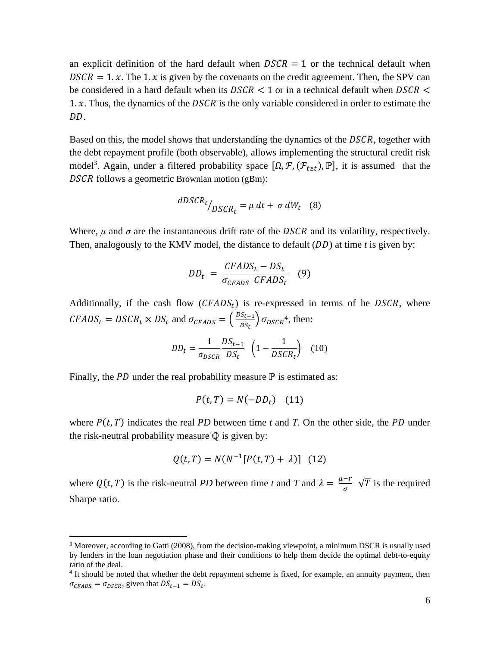an explicit definition of the hard default when  $DSCR = 1$  or the technical default when  $DSCR = 1.x$ . The 1. x is given by the covenants on the credit agreement. Then, the SPV can be considered in a hard default when its  $DSCR < 1$  or in a technical default when  $DSCR <$ 1.  $x$ . Thus, the dynamics of the *DSCR* is the only variable considered in order to estimate the DD.

Based on this, the model shows that understanding the dynamics of the DSCR, together with the debt repayment profile (both observable), allows implementing the structural credit risk model<sup>3</sup>. Again, under a filtered probability space  $[\Omega, \mathcal{F}, (\mathcal{F}_{t\geq t}), \mathbb{P}]$ , it is assumed that the DSCR follows a geometric Brownian motion (gBm):

$$
dDSCR_t /_{DSCR_t} = \mu \, dt + \sigma \, dW_t \quad (8)
$$

Where,  $\mu$  and  $\sigma$  are the instantaneous drift rate of the *DSCR* and its volatility, respectively. Then, analogously to the KMV model, the distance to default  $(DD)$  at time *t* is given by:

$$
DD_t = \frac{CFADS_t - DS_t}{\sigma_{CFADS} \ CFADS_t} \quad (9)
$$

Additionally, if the cash flow  $(CFADS_t)$  is re-expressed in terms of he DSCR, where  $CFADS_t = DSCR_t \times DS_t$  and  $\sigma_{CFADS} = \left(\frac{DS_{t-1}}{DS_t}\right)$  $\left(\frac{S_{t-1}}{DS_t}\right) \sigma_{DSCR}^4$ , then:

$$
DD_t = \frac{1}{\sigma_{DSCR}} \frac{DS_{t-1}}{DS_t} \left(1 - \frac{1}{DSCR_t}\right) \quad (10)
$$

Finally, the  $PD$  under the real probability measure  $\mathbb P$  is estimated as:

 $\overline{a}$ 

$$
P(t,T) = N(-DD_t) \quad (11)
$$

where  $P(t, T)$  indicates the real *PD* between time *t* and *T*. On the other side, the *PD* under the risk-neutral probability measure  $Q$  is given by:

$$
Q(t,T) = N(N^{-1}[P(t,T) + \lambda)]
$$
 (12)

where  $Q(t, T)$  is the risk-neutral *PD* between time *t* and *T* and  $\lambda = \frac{\mu - r}{T}$  $\frac{-1}{\sigma}$   $\sqrt{T}$  is the required Sharpe ratio.

<sup>&</sup>lt;sup>3</sup> Moreover, according to Gatti (2008), from the decision-making viewpoint, a minimum DSCR is usually used by lenders in the loan negotiation phase and their conditions to help them decide the optimal debt-to-equity ratio of the deal.

<sup>&</sup>lt;sup>4</sup> It should be noted that whether the debt repayment scheme is fixed, for example, an annuity payment, then  $\sigma_{CFADS} = \sigma_{DSCR}$ , given that  $DS_{t-1} = DS_t$ .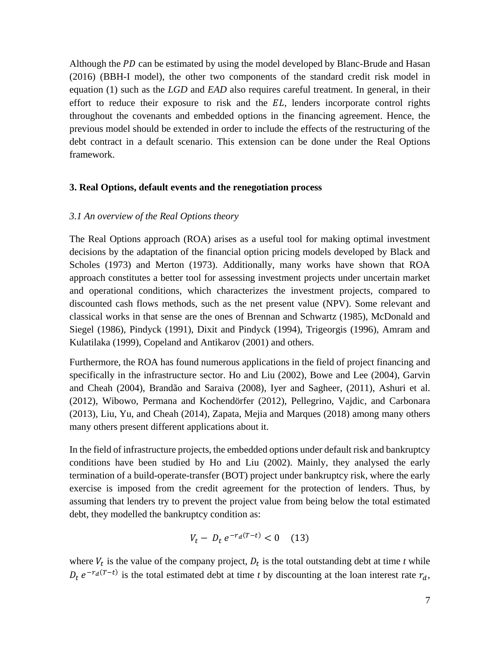Although the  $PD$  can be estimated by using the model developed by Blanc-Brude and Hasan (2016) (BBH-I model), the other two components of the standard credit risk model in equation (1) such as the *LGD* and *EAD* also requires careful treatment. In general, in their effort to reduce their exposure to risk and the  $EL$ , lenders incorporate control rights throughout the covenants and embedded options in the financing agreement. Hence, the previous model should be extended in order to include the effects of the restructuring of the debt contract in a default scenario. This extension can be done under the Real Options framework.

### **3. Real Options, default events and the renegotiation process**

### *3.1 An overview of the Real Options theory*

The Real Options approach (ROA) arises as a useful tool for making optimal investment decisions by the adaptation of the financial option pricing models developed by Black and Scholes (1973) and Merton (1973). Additionally, many works have shown that ROA approach constitutes a better tool for assessing investment projects under uncertain market and operational conditions, which characterizes the investment projects, compared to discounted cash flows methods, such as the net present value (NPV). Some relevant and classical works in that sense are the ones of Brennan and Schwartz (1985), McDonald and Siegel (1986), Pindyck (1991), Dixit and Pindyck (1994), Trigeorgis (1996), Amram and Kulatilaka (1999), Copeland and Antikarov (2001) and others.

Furthermore, the ROA has found numerous applications in the field of project financing and specifically in the infrastructure sector. Ho and Liu (2002), Bowe and Lee (2004), Garvin and Cheah (2004), Brandão and Saraiva (2008), Iyer and Sagheer, (2011), Ashuri et al. (2012), Wibowo, Permana and Kochendörfer (2012), Pellegrino, Vajdic, and Carbonara (2013), Liu, Yu, and Cheah (2014), Zapata, Mejia and Marques (2018) among many others many others present different applications about it.

In the field of infrastructure projects, the embedded options under default risk and bankruptcy conditions have been studied by Ho and Liu (2002). Mainly, they analysed the early termination of a build-operate-transfer (BOT) project under bankruptcy risk, where the early exercise is imposed from the credit agreement for the protection of lenders. Thus, by assuming that lenders try to prevent the project value from being below the total estimated debt, they modelled the bankruptcy condition as:

$$
V_t - D_t e^{-r_d(T-t)} < 0 \quad (13)
$$

where  $V_t$  is the value of the company project,  $D_t$  is the total outstanding debt at time *t* while  $D_t e^{-r_d(T-t)}$  is the total estimated debt at time *t* by discounting at the loan interest rate  $r_d$ ,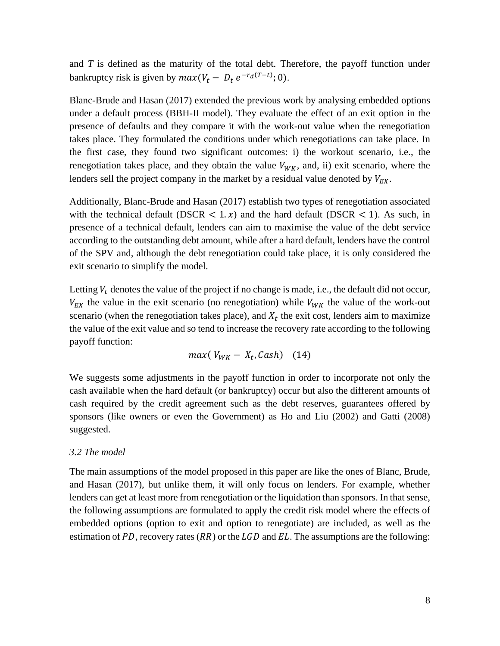and *T* is defined as the maturity of the total debt. Therefore, the payoff function under bankruptcy risk is given by  $max(V_t - D_t e^{-r_d(T-t)}; 0)$ .

Blanc-Brude and Hasan (2017) extended the previous work by analysing embedded options under a default process (BBH-II model). They evaluate the effect of an exit option in the presence of defaults and they compare it with the work-out value when the renegotiation takes place. They formulated the conditions under which renegotiations can take place. In the first case, they found two significant outcomes: i) the workout scenario, i.e., the renegotiation takes place, and they obtain the value  $V_{WK}$ , and, ii) exit scenario, where the lenders sell the project company in the market by a residual value denoted by  $V_{EX}$ .

Additionally, Blanc-Brude and Hasan (2017) establish two types of renegotiation associated with the technical default (DSCR  $\lt 1.x$ ) and the hard default (DSCR  $\lt 1$ ). As such, in presence of a technical default, lenders can aim to maximise the value of the debt service according to the outstanding debt amount, while after a hard default, lenders have the control of the SPV and, although the debt renegotiation could take place, it is only considered the exit scenario to simplify the model.

Letting  $V_t$  denotes the value of the project if no change is made, i.e., the default did not occur,  $V_{EX}$  the value in the exit scenario (no renegotiation) while  $V_{WK}$  the value of the work-out scenario (when the renegotiation takes place), and  $X_t$  the exit cost, lenders aim to maximize the value of the exit value and so tend to increase the recovery rate according to the following payoff function:

$$
max(V_{WK}-X_t, Cash) \quad (14)
$$

We suggests some adjustments in the payoff function in order to incorporate not only the cash available when the hard default (or bankruptcy) occur but also the different amounts of cash required by the credit agreement such as the debt reserves, guarantees offered by sponsors (like owners or even the Government) as Ho and Liu (2002) and Gatti (2008) suggested.

### *3.2 The model*

The main assumptions of the model proposed in this paper are like the ones of Blanc, Brude, and Hasan (2017), but unlike them, it will only focus on lenders. For example, whether lenders can get at least more from renegotiation or the liquidation than sponsors. In that sense, the following assumptions are formulated to apply the credit risk model where the effects of embedded options (option to exit and option to renegotiate) are included, as well as the estimation of PD, recovery rates  $(RR)$  or the  $LGD$  and  $EL$ . The assumptions are the following: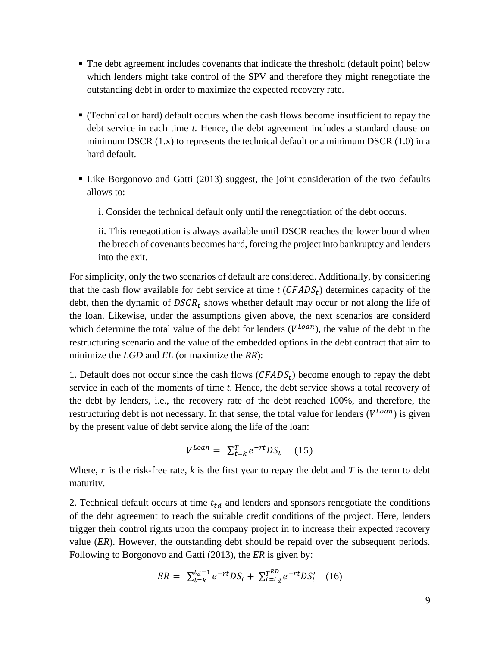- The debt agreement includes covenants that indicate the threshold (default point) below which lenders might take control of the SPV and therefore they might renegotiate the outstanding debt in order to maximize the expected recovery rate.
- (Technical or hard) default occurs when the cash flows become insufficient to repay the debt service in each time *t*. Hence, the debt agreement includes a standard clause on minimum DSCR  $(1.x)$  to represents the technical default or a minimum DSCR  $(1.0)$  in a hard default.
- Like Borgonovo and Gatti (2013) suggest, the joint consideration of the two defaults allows to:
	- i. Consider the technical default only until the renegotiation of the debt occurs.

ii. This renegotiation is always available until DSCR reaches the lower bound when the breach of covenants becomes hard, forcing the project into bankruptcy and lenders into the exit.

For simplicity, only the two scenarios of default are considered. Additionally, by considering that the cash flow available for debt service at time  $t$  ( $CFADS_t$ ) determines capacity of the debt, then the dynamic of  $DSCR_t$  shows whether default may occur or not along the life of the loan. Likewise, under the assumptions given above, the next scenarios are considerd which determine the total value of the debt for lenders  $(V^{Loan})$ , the value of the debt in the restructuring scenario and the value of the embedded options in the debt contract that aim to minimize the *LGD* and *EL* (or maximize the *RR*):

1. Default does not occur since the cash flows  $(CFADS_t)$  become enough to repay the debt service in each of the moments of time *t*. Hence, the debt service shows a total recovery of the debt by lenders, i.e., the recovery rate of the debt reached 100%, and therefore, the restructuring debt is not necessary. In that sense, the total value for lenders  $(V^{Loan})$  is given by the present value of debt service along the life of the loan:

$$
V^{Loan} = \sum_{t=k}^{T} e^{-rt} DS_t \quad (15)
$$

Where,  $r$  is the risk-free rate,  $k$  is the first year to repay the debt and  $T$  is the term to debt maturity.

2. Technical default occurs at time  $t_{td}$  and lenders and sponsors renegotiate the conditions of the debt agreement to reach the suitable credit conditions of the project. Here, lenders trigger their control rights upon the company project in to increase their expected recovery value (*ER*). However, the outstanding debt should be repaid over the subsequent periods. Following to Borgonovo and Gatti (2013), the *ER* is given by:

$$
ER = \sum_{t=k}^{t_d-1} e^{-rt} DS_t + \sum_{t=t_d}^{T^{RD}} e^{-rt} DS'_t \quad (16)
$$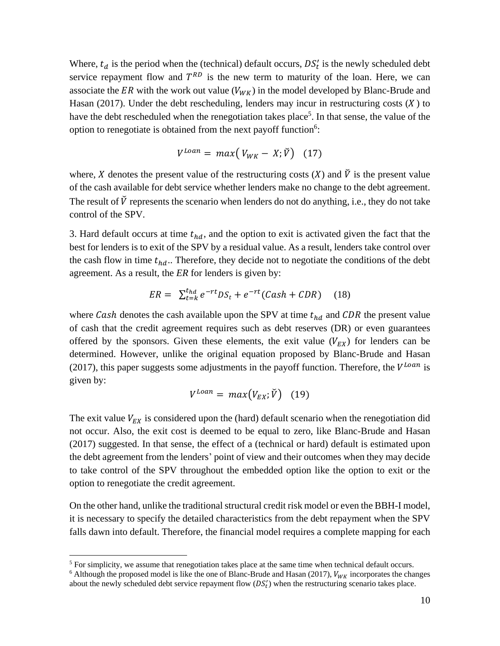Where,  $t_d$  is the period when the (technical) default occurs,  $DS'_t$  is the newly scheduled debt service repayment flow and  $T^{RD}$  is the new term to maturity of the loan. Here, we can associate the ER with the work out value ( $V_{WK}$ ) in the model developed by Blanc-Brude and Hasan (2017). Under the debt rescheduling, lenders may incur in restructuring costs  $(X)$  to have the debt rescheduled when the renegotiation takes place<sup>5</sup>. In that sense, the value of the option to renegotiate is obtained from the next payoff function<sup>6</sup>:

$$
V^{Loan} = max(V_{WK} - X; \check{V}) \quad (17)
$$

where, X denotes the present value of the restructuring costs  $(X)$  and  $\check{V}$  is the present value of the cash available for debt service whether lenders make no change to the debt agreement. The result of  $\check{V}$  represents the scenario when lenders do not do anything, i.e., they do not take control of the SPV.

3. Hard default occurs at time  $t_{hd}$ , and the option to exit is activated given the fact that the best for lenders is to exit of the SPV by a residual value. As a result, lenders take control over the cash flow in time  $t_{hd}$ .. Therefore, they decide not to negotiate the conditions of the debt agreement. As a result, the *ER* for lenders is given by:

$$
ER = \sum_{t=k}^{t_{hd}} e^{-rt}DS_t + e^{-rt}(Cash + CDR) \quad (18)
$$

where Cash denotes the cash available upon the SPV at time  $t_{hd}$  and CDR the present value of cash that the credit agreement requires such as debt reserves (DR) or even guarantees offered by the sponsors. Given these elements, the exit value  $(V_{EX})$  for lenders can be determined. However, unlike the original equation proposed by Blanc-Brude and Hasan (2017), this paper suggests some adjustments in the payoff function. Therefore, the  $V^{Loan}$  is given by:

$$
V^{Loan} = max(V_{EX}; \check{V}) \quad (19)
$$

The exit value  $V_{EX}$  is considered upon the (hard) default scenario when the renegotiation did not occur. Also, the exit cost is deemed to be equal to zero, like Blanc-Brude and Hasan (2017) suggested. In that sense, the effect of a (technical or hard) default is estimated upon the debt agreement from the lenders' point of view and their outcomes when they may decide to take control of the SPV throughout the embedded option like the option to exit or the option to renegotiate the credit agreement.

On the other hand, unlike the traditional structural credit risk model or even the BBH-I model, it is necessary to specify the detailed characteristics from the debt repayment when the SPV falls dawn into default. Therefore, the financial model requires a complete mapping for each

 $<sup>5</sup>$  For simplicity, we assume that renegotiation takes place at the same time when technical default occurs.</sup>

<sup>&</sup>lt;sup>6</sup> Although the proposed model is like the one of Blanc-Brude and Hasan (2017),  $V_{WK}$  incorporates the changes about the newly scheduled debt service repayment flow  $(DS_t')$  when the restructuring scenario takes place.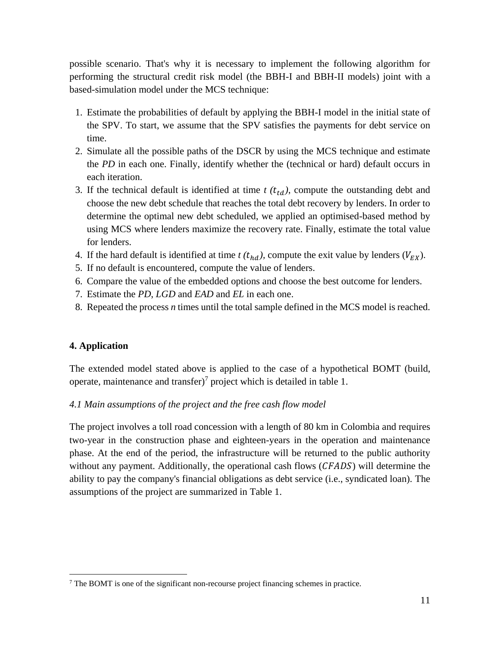possible scenario. That's why it is necessary to implement the following algorithm for performing the structural credit risk model (the BBH-I and BBH-II models) joint with a based-simulation model under the MCS technique:

- 1. Estimate the probabilities of default by applying the BBH-I model in the initial state of the SPV. To start, we assume that the SPV satisfies the payments for debt service on time.
- 2. Simulate all the possible paths of the DSCR by using the MCS technique and estimate the *PD* in each one. Finally, identify whether the (technical or hard) default occurs in each iteration.
- 3. If the technical default is identified at time  $t$   $(t_{td})$ , compute the outstanding debt and choose the new debt schedule that reaches the total debt recovery by lenders. In order to determine the optimal new debt scheduled, we applied an optimised-based method by using MCS where lenders maximize the recovery rate. Finally, estimate the total value for lenders.
- 4. If the hard default is identified at time  $t(t_{hd})$ , compute the exit value by lenders ( $V_{EX}$ ).
- 5. If no default is encountered, compute the value of lenders.
- 6. Compare the value of the embedded options and choose the best outcome for lenders.
- 7. Estimate the *PD*, *LGD* and *EAD* and *EL* in each one.
- 8. Repeated the process *n* times until the total sample defined in the MCS model is reached.

## **4. Application**

 $\overline{a}$ 

The extended model stated above is applied to the case of a hypothetical BOMT (build, operate, maintenance and transfer)<sup>7</sup> project which is detailed in table 1.

## *4.1 Main assumptions of the project and the free cash flow model*

The project involves a toll road concession with a length of 80 km in Colombia and requires two-year in the construction phase and eighteen-years in the operation and maintenance phase. At the end of the period, the infrastructure will be returned to the public authority without any payment. Additionally, the operational cash flows  $(CFADS)$  will determine the ability to pay the company's financial obligations as debt service (i.e., syndicated loan). The assumptions of the project are summarized in Table 1.

<sup>7</sup> The BOMT is one of the significant non-recourse project financing schemes in practice.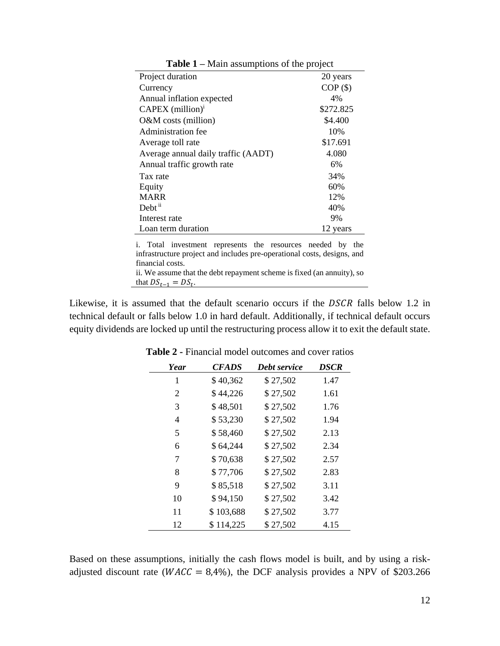| Project duration                                                                                                                                          | 20 years   |  |
|-----------------------------------------------------------------------------------------------------------------------------------------------------------|------------|--|
| Currency                                                                                                                                                  | $COP($ \$) |  |
| Annual inflation expected                                                                                                                                 | 4%         |  |
| $CAPEX$ (million) <sup>1</sup>                                                                                                                            | \$272.825  |  |
| $O&M$ costs (million)                                                                                                                                     | \$4.400    |  |
| Administration fee                                                                                                                                        | 10%        |  |
| Average toll rate                                                                                                                                         | \$17.691   |  |
| Average annual daily traffic (AADT)                                                                                                                       | 4.080      |  |
| Annual traffic growth rate                                                                                                                                | 6%         |  |
| Tax rate                                                                                                                                                  | 34%        |  |
| Equity                                                                                                                                                    | 60%        |  |
| <b>MARR</b>                                                                                                                                               | 12%        |  |
| Debt <sup>ii</sup>                                                                                                                                        | 40%        |  |
| Interest rate                                                                                                                                             | 9%         |  |
| Loan term duration                                                                                                                                        | 12 years   |  |
| i. Total investment represents the resources needed by the<br>infrastructure project and includes pre-operational costs, designs, and<br>financial costs. |            |  |
| ii. We assume that the debt repayment scheme is fixed (an annuity), so                                                                                    |            |  |

**Table 1 –** Main assumptions of the project

Likewise, it is assumed that the default scenario occurs if the  $DSCR$  falls below 1.2 in technical default or falls below 1.0 in hard default. Additionally, if technical default occurs equity dividends are locked up until the restructuring process allow it to exit the default state.

that  $DS_{t-1} = DS_t$ .

| Year           | <b>CFADS</b> | Debt service | <b>DSCR</b> |
|----------------|--------------|--------------|-------------|
| 1              | \$40,362     | \$27,502     | 1.47        |
| $\overline{2}$ | \$44,226     | \$27,502     | 1.61        |
| 3              | \$48,501     | \$27,502     | 1.76        |
| 4              | \$53,230     | \$27,502     | 1.94        |
| 5              | \$58,460     | \$27,502     | 2.13        |
| 6              | \$64,244     | \$27,502     | 2.34        |
| 7              | \$70,638     | \$27,502     | 2.57        |
| 8              | \$77,706     | \$27,502     | 2.83        |
| 9              | \$85,518     | \$27,502     | 3.11        |
| 10             | \$94,150     | \$27,502     | 3.42        |
| 11             | \$103,688    | \$27,502     | 3.77        |
| 12             | \$114,225    | \$27,502     | 4.15        |

**Table 2 -** Financial model outcomes and cover ratios

Based on these assumptions, initially the cash flows model is built, and by using a riskadjusted discount rate ( $WACC = 8,4\%$ ), the DCF analysis provides a NPV of \$203.266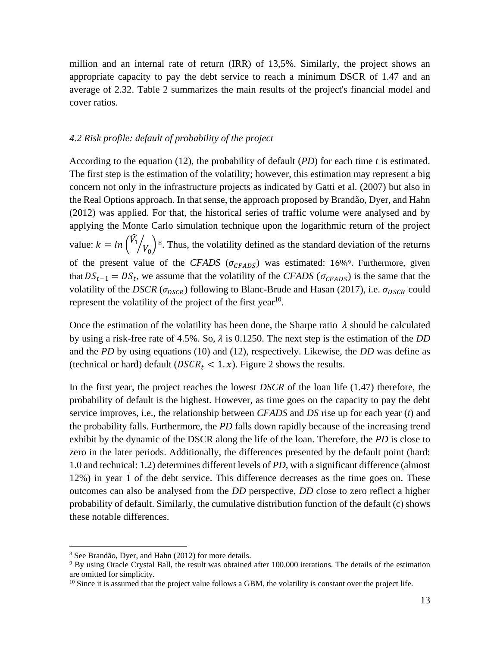million and an internal rate of return (IRR) of 13,5%. Similarly, the project shows an appropriate capacity to pay the debt service to reach a minimum DSCR of 1.47 and an average of 2.32. Table 2 summarizes the main results of the project's financial model and cover ratios.

#### *4.2 Risk profile: default of probability of the project*

According to the equation (12), the probability of default (*PD*) for each time *t* is estimated. The first step is the estimation of the volatility; however, this estimation may represent a big concern not only in the infrastructure projects as indicated by Gatti et al. (2007) but also in the Real Options approach. In that sense, the approach proposed by Brandão, Dyer, and Hahn (2012) was applied. For that, the historical series of traffic volume were analysed and by applying the Monte Carlo simulation technique upon the logarithmic return of the project value:  $k = ln \left( \widehat{V}_1 \right)$  $\mathcal{O}(v_0)$ <sup>8</sup>. Thus, the volatility defined as the standard deviation of the returns of the present value of the *CFADS* ( $\sigma_{CFADS}$ ) was estimated: 16%<sup>9</sup>. Furthermore, given that  $DS_{t-1} = DS_t$ , we assume that the volatility of the *CFADS* ( $\sigma_{CFADS}$ ) is the same that the volatility of the *DSCR* ( $\sigma_{DSCR}$ ) following to Blanc-Brude and Hasan (2017), i.e.  $\sigma_{DSCR}$  could represent the volatility of the project of the first year<sup>10</sup>.

Once the estimation of the volatility has been done, the Sharpe ratio  $\lambda$  should be calculated by using a risk-free rate of 4.5%. So,  $\lambda$  is 0.1250. The next step is the estimation of the *DD* and the *PD* by using equations (10) and (12), respectively. Likewise, the *DD* was define as (technical or hard) default ( $DSCR_t < 1.x$ ). Figure 2 shows the results.

In the first year, the project reaches the lowest *DSCR* of the loan life (1.47) therefore, the probability of default is the highest. However, as time goes on the capacity to pay the debt service improves, i.e., the relationship between *CFADS* and *DS* rise up for each year (*t*) and the probability falls. Furthermore, the *PD* falls down rapidly because of the increasing trend exhibit by the dynamic of the DSCR along the life of the loan. Therefore, the *PD* is close to zero in the later periods. Additionally, the differences presented by the default point (hard: 1.0 and technical: 1.2) determines different levels of *PD*, with a significant difference (almost 12%) in year 1 of the debt service. This difference decreases as the time goes on. These outcomes can also be analysed from the *DD* perspective, *DD* close to zero reflect a higher probability of default. Similarly, the cumulative distribution function of the default (c) shows these notable differences.

<sup>8</sup> See Brandão, Dyer, and Hahn (2012) for more details.

<sup>&</sup>lt;sup>9</sup> By using Oracle Crystal Ball, the result was obtained after 100.000 iterations. The details of the estimation are omitted for simplicity.

<sup>&</sup>lt;sup>10</sup> Since it is assumed that the project value follows a GBM, the volatility is constant over the project life.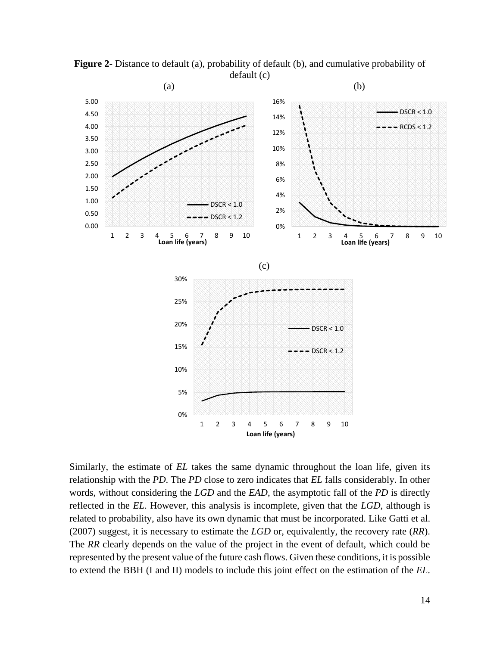

**Figure 2-** Distance to default (a), probability of default (b), and cumulative probability of default (c)

Similarly, the estimate of *EL* takes the same dynamic throughout the loan life, given its relationship with the *PD*. The *PD* close to zero indicates that *EL* falls considerably. In other words, without considering the *LGD* and the *EAD*, the asymptotic fall of the *PD* is directly reflected in the *EL*. However, this analysis is incomplete, given that the *LGD*, although is related to probability, also have its own dynamic that must be incorporated. Like Gatti et al. (2007) suggest, it is necessary to estimate the *LGD* or, equivalently, the recovery rate (*RR*). The *RR* clearly depends on the value of the project in the event of default, which could be represented by the present value of the future cash flows. Given these conditions, it is possible to extend the BBH (I and II) models to include this joint effect on the estimation of the *EL*.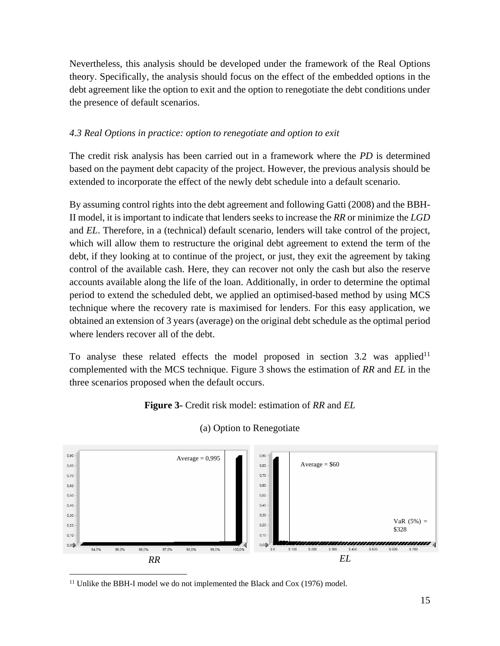Nevertheless, this analysis should be developed under the framework of the Real Options theory. Specifically, the analysis should focus on the effect of the embedded options in the debt agreement like the option to exit and the option to renegotiate the debt conditions under the presence of default scenarios.

## *4.3 Real Options in practice: option to renegotiate and option to exit*

The credit risk analysis has been carried out in a framework where the *PD* is determined based on the payment debt capacity of the project. However, the previous analysis should be extended to incorporate the effect of the newly debt schedule into a default scenario.

By assuming control rights into the debt agreement and following Gatti (2008) and the BBH-II model, it is important to indicate that lenders seeks to increase the *RR* or minimize the *LGD* and *EL*. Therefore, in a (technical) default scenario, lenders will take control of the project, which will allow them to restructure the original debt agreement to extend the term of the debt, if they looking at to continue of the project, or just, they exit the agreement by taking control of the available cash. Here, they can recover not only the cash but also the reserve accounts available along the life of the loan. Additionally, in order to determine the optimal period to extend the scheduled debt, we applied an optimised-based method by using MCS technique where the recovery rate is maximised for lenders. For this easy application, we obtained an extension of 3 years (average) on the original debt schedule as the optimal period where lenders recover all of the debt.

To analyse these related effects the model proposed in section 3.2 was applied<sup>11</sup> complemented with the MCS technique. Figure 3 shows the estimation of *RR* and *EL* in the three scenarios proposed when the default occurs.

## **Figure 3-** Credit risk model: estimation of *RR* and *EL*



## (a) Option to Renegotiate

<sup>&</sup>lt;sup>11</sup> Unlike the BBH-I model we do not implemented the Black and Cox (1976) model.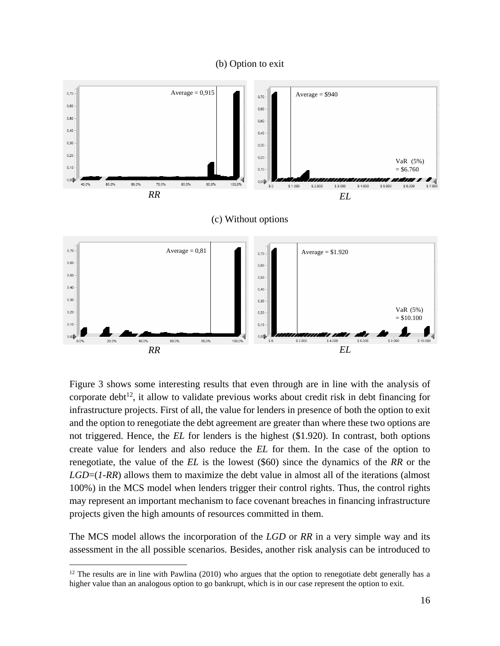#### (b) Option to exit



Figure 3 shows some interesting results that even through are in line with the analysis of corporate debt<sup>12</sup>, it allow to validate previous works about credit risk in debt financing for infrastructure projects. First of all, the value for lenders in presence of both the option to exit and the option to renegotiate the debt agreement are greater than where these two options are not triggered. Hence, the *EL* for lenders is the highest (\$1.920). In contrast, both options create value for lenders and also reduce the *EL* for them. In the case of the option to renegotiate, the value of the *EL* is the lowest (\$60) since the dynamics of the *RR* or the *LGD*=(*1-RR*) allows them to maximize the debt value in almost all of the iterations (almost 100%) in the MCS model when lenders trigger their control rights. Thus, the control rights may represent an important mechanism to face covenant breaches in financing infrastructure projects given the high amounts of resources committed in them.

The MCS model allows the incorporation of the *LGD* or *RR* in a very simple way and its assessment in the all possible scenarios. Besides, another risk analysis can be introduced to

 $12$  The results are in line with Pawlina (2010) who argues that the option to renegotiate debt generally has a higher value than an analogous option to go bankrupt, which is in our case represent the option to exit.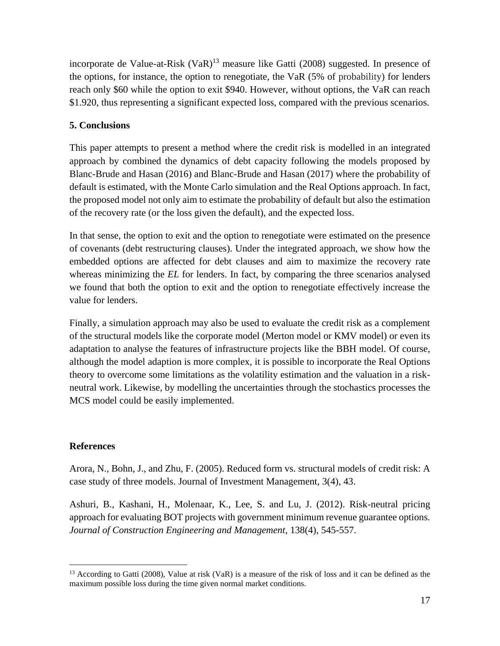incorporate de Value-at-Risk  $(VaR)^{13}$  measure like Gatti (2008) suggested. In presence of the options, for instance, the option to renegotiate, the VaR (5% of probability) for lenders reach only \$60 while the option to exit \$940. However, without options, the VaR can reach \$1.920, thus representing a significant expected loss, compared with the previous scenarios.

## **5. Conclusions**

This paper attempts to present a method where the credit risk is modelled in an integrated approach by combined the dynamics of debt capacity following the models proposed by Blanc-Brude and Hasan (2016) and Blanc-Brude and Hasan (2017) where the probability of default is estimated, with the Monte Carlo simulation and the Real Options approach. In fact, the proposed model not only aim to estimate the probability of default but also the estimation of the recovery rate (or the loss given the default), and the expected loss.

In that sense, the option to exit and the option to renegotiate were estimated on the presence of covenants (debt restructuring clauses). Under the integrated approach, we show how the embedded options are affected for debt clauses and aim to maximize the recovery rate whereas minimizing the *EL* for lenders. In fact, by comparing the three scenarios analysed we found that both the option to exit and the option to renegotiate effectively increase the value for lenders.

Finally, a simulation approach may also be used to evaluate the credit risk as a complement of the structural models like the corporate model (Merton model or KMV model) or even its adaptation to analyse the features of infrastructure projects like the BBH model. Of course, although the model adaption is more complex, it is possible to incorporate the Real Options theory to overcome some limitations as the volatility estimation and the valuation in a riskneutral work. Likewise, by modelling the uncertainties through the stochastics processes the MCS model could be easily implemented.

## **References**

 $\overline{a}$ 

Arora, N., Bohn, J., and Zhu, F. (2005). Reduced form vs. structural models of credit risk: A case study of three models. Journal of Investment Management, 3(4), 43.

Ashuri, B., Kashani, H., Molenaar, K., Lee, S. and Lu, J. (2012). Risk-neutral pricing approach for evaluating BOT projects with government minimum revenue guarantee options*. Journal of Construction Engineering and Management*, 138(4), 545-557.

<sup>&</sup>lt;sup>13</sup> According to Gatti (2008), Value at risk (VaR) is a measure of the risk of loss and it can be defined as the maximum possible loss during the time given normal market conditions.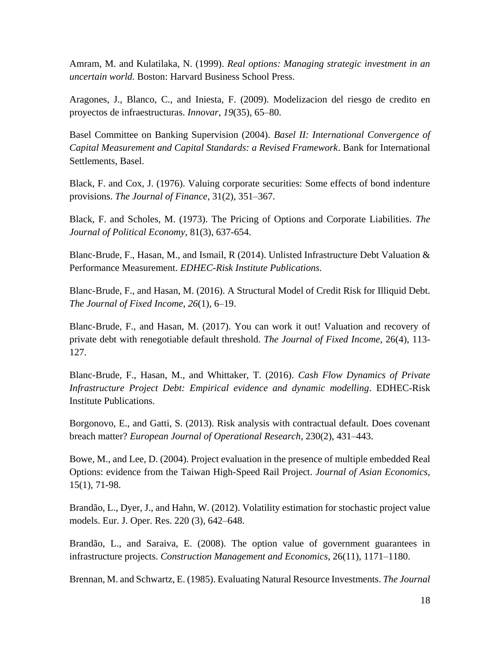Amram, M. and Kulatilaka, N. (1999). *Real options: Managing strategic investment in an uncertain world.* Boston: Harvard Business School Press.

Aragones, J., Blanco, C., and Iniesta, F. (2009). Modelizacion del riesgo de credito en proyectos de infraestructuras. *Innovar*, *19*(35), 65–80.

Basel Committee on Banking Supervision (2004). *Basel II: International Convergence of Capital Measurement and Capital Standards: a Revised Framework*. Bank for International Settlements, Basel.

Black, F. and Cox, J. (1976). Valuing corporate securities: Some effects of bond indenture provisions. *The Journal of Finance*, 31(2), 351–367.

Black, F. and Scholes, M. (1973). The Pricing of Options and Corporate Liabilities. *The Journal of Political Economy*, 81(3), 637-654.

Blanc-Brude, F., Hasan, M., and Ismail, R (2014). Unlisted Infrastructure Debt Valuation & Performance Measurement. *EDHEC-Risk Institute Publications.*

Blanc-Brude, F., and Hasan, M. (2016). A Structural Model of Credit Risk for Illiquid Debt. *The Journal of Fixed Income*, *26*(1), 6–19.

Blanc-Brude, F., and Hasan, M. (2017). You can work it out! Valuation and recovery of private debt with renegotiable default threshold. *The Journal of Fixed Income*, 26(4), 113- 127.

Blanc-Brude, F., Hasan, M., and Whittaker, T. (2016). *Cash Flow Dynamics of Private Infrastructure Project Debt: Empirical evidence and dynamic modelling*. EDHEC-Risk Institute Publications.

Borgonovo, E., and Gatti, S. (2013). Risk analysis with contractual default. Does covenant breach matter? *European Journal of Operational Research*, 230(2), 431–443.

Bowe, M., and Lee, D. (2004). Project evaluation in the presence of multiple embedded Real Options: evidence from the Taiwan High-Speed Rail Project. *Journal of Asian Economics*, 15(1), 71-98.

Brandão, L., Dyer, J., and Hahn, W. (2012). Volatility estimation for stochastic project value models. Eur. J. Oper. Res. 220 (3), 642–648.

Brandão, L., and Saraiva, E. (2008). The option value of government guarantees in infrastructure projects. *Construction Management and Economics*, 26(11), 1171–1180.

Brennan, M. and Schwartz, E. (1985). Evaluating Natural Resource Investments. *The Journal*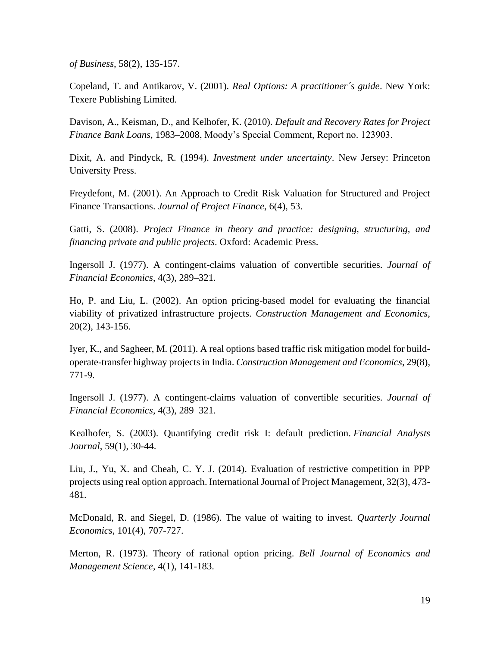*of Business*, 58(2), 135-157.

Copeland, T. and Antikarov, V. (2001). *Real Options: A practitioner´s guide*. New York: Texere Publishing Limited.

Davison, A., Keisman, D., and Kelhofer, K. (2010). *Default and Recovery Rates for Project Finance Bank Loans*, 1983–2008, Moody's Special Comment, Report no. 123903.

Dixit, A. and Pindyck, R. (1994). *Investment under uncertainty*. New Jersey: Princeton University Press.

Freydefont, M. (2001). An Approach to Credit Risk Valuation for Structured and Project Finance Transactions. *Journal of Project Finance*, 6(4), 53.

Gatti, S. (2008). *Project Finance in theory and practice: designing, structuring, and financing private and public projects*. Oxford: Academic Press.

Ingersoll J. (1977). A contingent-claims valuation of convertible securities. *Journal of Financial Economics*, 4(3), 289–321.

Ho, P. and Liu, L. (2002). An option pricing-based model for evaluating the financial viability of privatized infrastructure projects. *Construction Management and Economics*, 20(2), 143-156.

Iyer, K., and Sagheer, M. (2011). A real options based traffic risk mitigation model for buildoperate-transfer highway projects in India. *Construction Management and Economics*, 29(8), 771-9.

Ingersoll J. (1977). A contingent-claims valuation of convertible securities. *Journal of Financial Economics*, 4(3), 289–321.

Kealhofer, S. (2003). Quantifying credit risk I: default prediction. *Financial Analysts Journal*, 59(1), 30-44.

Liu, J., Yu, X. and Cheah, C. Y. J. (2014). Evaluation of restrictive competition in PPP projects using real option approach. International Journal of Project Management, 32(3), 473- 481.

McDonald, R. and Siegel, D. (1986). The value of waiting to invest. *Quarterly Journal Economics*, 101(4), 707-727.

Merton, R. (1973). Theory of rational option pricing. *Bell Journal of Economics and Management Science*, 4(1), 141-183.